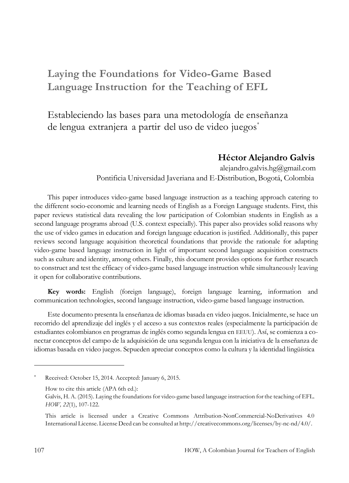# **Laying the Foundations for Video-Game Based Language Instruction for the Teaching of EFL**

Estableciendo las bases para una metodología de enseñanza de lengua extranjera a partir del uso de video juegos \*

#### **Héctor Alejandro Galvis**

[alejandro.galvis.hg@gmail.com](mailto:alejandro.galvis.hg@gmail.com) Pontificia Universidad Javeriana and E-Distribution, Bogotá, Colombia

This paper introduces video-game based language instruction as a teaching approach catering to the different socio-economic and learning needs of English as a Foreign Language students. First, this paper reviews statistical data revealing the low participation of Colombian students in English as a second language programs abroad (U.S. context especially). This paper also provides solid reasons why the use of video games in education and foreign language education is justified. Additionally, this paper reviews second language acquisition theoretical foundations that provide the rationale for adapting video-game based language instruction in light of important second language acquisition constructs such as culture and identity, among others. Finally, this document provides options for further research to construct and test the efficacy of video-game based language instruction while simultaneously leaving it open for collaborative contributions.

**Key words:** English (foreign language), foreign language learning, information and communication technologies, second language instruction, video-game based language instruction.

Este documento presenta la enseñanza de idiomas basada en video juegos. Inicialmente, se hace un recorrido del aprendizaje del inglés y el acceso a sus contextos reales (especialmente la participación de estudiantes colombianos en programas de inglés como segunda lengua en EEUU). Así, se comienza a conectar conceptos del campo de la adquisición de una segunda lengua con la iniciativa de la enseñanza de idiomas basada en video juegos. Sepueden apreciar conceptos como la cultura y la identidad lingüística

Received: October 15, 2014. Accepted: January 6, 2015.

How to cite this article (APA 6th ed.):

Galvis, H. A. (2015). Laying the foundations for video-game based language instruction forthe teaching of EFL. *HOW, 22*(1), 107-122.

This article is licensed under a Creative Commons Attribution-NonCommercial-NoDerivatives 4.0 International License. License Deed can be consulted at [http://creativecommons.org/licenses/by-nc-nd/4.0/.](http://creativecommons.org/licenses/by-nc-nd/4.0/)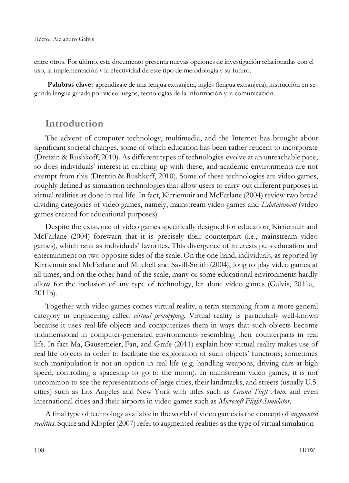entre otros. Por último, este documento presenta nuevas opciones de investigación relacionadas con el uso, la implementación y la efectividad de este tipo de metodología y su futuro.

**Palabras clave:** aprendizaje de una lengua extranjera, inglés (lengua extranjera), instrucción en segunda lengua guiada por video juegos, tecnologías de la información y la comunicación.

### **Introduction**

The advent of computer technology, multimedia, and the Internet has brought about significant societal changes, some of which education has been rather reticent to incorporate (Dretzin & Rushkoff, 2010). As different types of technologies evolve at an unreachable pace, so does individuals' interest in catching up with these, and academic environments are not exempt from this (Dretzin & Rushkoff, 2010). Some of these technologies are video games, roughly defined as simulation technologies that allow users to carry out different purposes in virtual realities as done in real life. In fact, Kirriemuir and McFarlane (2004) review two broad dividing categories of video games, namely, mainstream video games and *Edutainment* (video games created for educational purposes).

Despite the existence of video games specifically designed for education, Kirriemuir and McFarlane (2004) forewarn that it is precisely their counterpart (i.e., mainstream video games), which rank as individuals' favorites. This divergence of interests puts education and entertainment on two opposite sides of the scale. On the one hand, individuals, as reported by Kirriemuir and McFarlane and Mitchell and Savill-Smith (2004), long to play video games at all times, and on the other hand of the scale, many or some educational environments hardly allow for the inclusion of any type of technology, let alone video games (Galvis, 2011a, 2011b).

Together with video games comes virtual reality, a term stemming from a more general category in engineering called *virtual prototyping*. Virtual reality is particularly well-known because it uses real-life objects and computerizes them in ways that such objects become tridimensional in computer-generated environments resembling their counterparts in real life. In fact Ma, Gausemeier, Fan, and Grafe (2011) explain how virtual reality makes use of real life objects in order to facilitate the exploration of such objects' functions; sometimes such manipulation is not an option in real life (e.g. handling weapons, driving cars at high speed, controlling a spaceship to go to the moon). In mainstream video games, it is not uncommon to see the representations of large cities, their landmarks, and streets (usually U.S. cities) such as Los Angeles and New York with titles such as *Grand Theft Auto*, and even international cities and their airports in video games such as *Microsoft Flight Simulator*.

A final type of technology available in the world of video gamesis the concept of *augmented realities*. Squire and Klopfer (2007) refer to augmented realities as the type of virtual simulation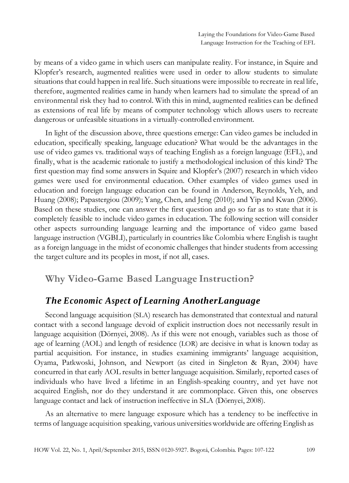by means of a video game in which users can manipulate reality. For instance, in Squire and Klopfer's research, augmented realities were used in order to allow students to simulate situations that could happen in real life. Such situations were impossible to recreate in real life, therefore, augmented realities came in handy when learners had to simulate the spread of an environmental risk they had to control. With this in mind, augmented realities can be defined as extensions of real life by means of computer technology which allows users to recreate dangerous or unfeasible situations in a virtually-controlled environment.

In light of the discussion above, three questions emerge: Can video games be included in education, specifically speaking, language education? What would be the advantages in the use of video games vs. traditional ways of teaching English as a foreign language (EFL), and finally, what is the academic rationale to justify a methodological inclusion of this kind? The first question may find some answers in Squire and Klopfer's (2007) research in which video games were used for environmental education. Other examples of video games used in education and foreign language education can be found in Anderson, Reynolds, Yeh, and Huang (2008); Papastergiou (2009); Yang, Chen, and Jeng (2010); and Yip and Kwan (2006). Based on these studies, one can answer the first question and go so far as to state that it is completely feasible to include video games in education. The following section will consider other aspects surrounding language learning and the importance of video game based language instruction (VGBLI), particularly in countries like Colombia where English is taught as a foreign language in the midst of economic challenges that hinder students from accessing the target culture and its peoples in most, if not all, cases.

# **Why Video-Game Based Language Instruction?**

### *The Economic Aspect of Learning AnotherLanguage*

Second language acquisition (SLA) research has demonstrated that contextual and natural contact with a second language devoid of explicit instruction does not necessarily result in language acquisition (Dörnyei, 2008). As if this were not enough, variables such as those of age of learning (AOL) and length of residence (LOR) are decisive in what is known today as partial acquisition. For instance, in studies examining immigrants' language acquisition, Oyama, Patkwoski, Johnson, and Newport (as cited in Singleton & Ryan, 2004) have concurred in that early AOL results in better language acquisition. Similarly, reported cases of individuals who have lived a lifetime in an English-speaking country, and yet have not acquired English, nor do they understand it are commonplace. Given this, one observes language contact and lack of instruction ineffective in SLA (Dörnyei, 2008).

As an alternative to mere language exposure which has a tendency to be ineffective in terms of language acquisition speaking, various universitiesworldwide are offering English as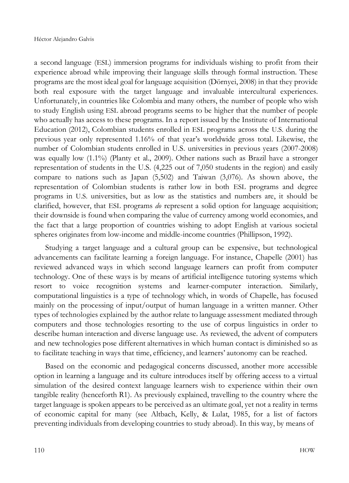a second language (ESL) immersion programs for individuals wishing to profit from their experience abroad while improving their language skills through formal instruction. These programs are the most ideal goal for language acquisition (Dörnyei, 2008) in that they provide both real exposure with the target language and invaluable intercultural experiences. Unfortunately, in countries like Colombia and many others, the number of people who wish to study English using ESL abroad programs seems to be higher that the number of people who actually has access to these programs. In a report issued by the Institute of International Education (2012), Colombian students enrolled in ESL programs across the U.S. during the previous year only represented 1.16% of that year's worldwide gross total. Likewise, the number of Colombian students enrolled in U.S. universities in previous years (2007-2008) was equally low (1.1%) (Planty et al., 2009). Other nations such as Brazil have a stronger representation of students in the U.S. (4,225 out of 7,050 students in the region) and easily compare to nations such as Japan (5,502) and Taiwan (3,076). As shown above, the representation of Colombian students is rather low in both ESL programs and degree programs in U.S. universities, but as low as the statistics and numbers are, it should be clarified, however, that ESL programs  $d\theta$  represent a solid option for language acquisition; their downside is found when comparing the value of currency among world economies, and the fact that a large proportion of countries wishing to adopt English at various societal spheres originates from low-income and middle-income countries (Phillipson, 1992).

Studying a target language and a cultural group can be expensive, but technological advancements can facilitate learning a foreign language. For instance, Chapelle (2001) has reviewed advanced ways in which second language learners can profit from computer technology. One of these ways is by means of artificial intelligence tutoring systems which resort to voice recognition systems and learner-computer interaction. Similarly, computational linguistics is a type of technology which, in words of Chapelle, has focused mainly on the processing of input/output of human language in a written manner. Other types of technologies explained by the author relate to language assessment mediated through computers and those technologies resorting to the use of corpus linguistics in order to describe human interaction and diverse language use. As reviewed, the advent of computers and new technologies pose different alternatives in which human contact is diminished so as to facilitate teaching in ways that time, efficiency, and learners' autonomy can be reached.

Based on the economic and pedagogical concerns discussed, another more accessible option in learning a language and its culture introduces itself by offering access to a virtual simulation of the desired context language learners wish to experience within their own tangible reality (henceforth R1). As previously explained, travelling to the country where the target language is spoken appears to be perceived as an ultimate goal, yet not a reality in terms of economic capital for many (see Altbach, Kelly, & Lulat, 1985, for a list of factors preventing individuals from developing countries to study abroad). In this way, by means of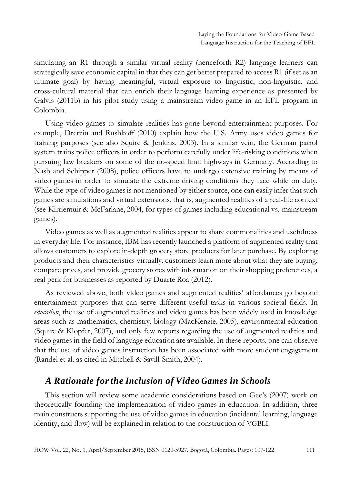simulating an R1 through a similar virtual reality (henceforth R2) language learners can strategically save economic capital in that they can get better prepared to access R1 (if set as an ultimate goal) by having meaningful, virtual exposure to linguistic, non-linguistic, and cross-cultural material that can enrich their language learning experience as presented by Galvis (2011b) in his pilot study using a mainstream video game in an EFL program in Colombia.

Using video games to simulate realities has gone beyond entertainment purposes. For example, Dretzin and Rushkoff (2010) explain how the U.S. Army uses video games for training purposes (see also Squire & Jenkins, 2003). In a similar vein, the German patrol system trains police officers in order to perform carefully under life-risking conditions when pursuing law breakers on some of the no-speed limit highways in Germany. According to Nash and Schipper (2008), police officers have to undergo extensive training by means of video games in order to simulate the extreme driving conditions they face while on duty. While the type of video games is not mentioned by either source, one can easily infer that such games are simulations and virtual extensions, that is, augmented realities of a real-life context (see Kirriemuir & McFarlane, 2004, for types of games including educational vs. mainstream games).

Video games as well as augmented realities appear to share commonalities and usefulness in everyday life. For instance, IBM has recently launched a platform of augmented reality that allows customers to explore in-depth grocery store products for later purchase. By exploring products and their characteristics virtually, customers learn more about what they are buying, compare prices, and provide grocery stores with information on their shopping preferences, a real perk for businesses as reported by Duarte Roa (2012).

As reviewed above, both video games and augmented realities' affordances go beyond entertainment purposes that can serve different useful tasks in various societal fields. In *education*, the use of augmented realities and video games has been widely used in knowledge areas such as mathematics, chemistry, biology (MacKenzie, 2005), environmental education (Squire & Klopfer, 2007), and only few reports regarding the use of augmented realities and video games in the field of language education are available. In these reports, one can observe that the use of video games instruction has been associated with more student engagement (Randel et al. as cited in Mitchell & Savill-Smith, 2004).

# *A Rationale forthe Inclusion of Video Games in Schools*

This section will review some academic considerations based on Gee's (2007) work on theoretically founding the implementation of video games in education. In addition, three main constructs supporting the use of video games in education (incidental learning, language identity, and flow) will be explained in relation to the construction of VGBLI.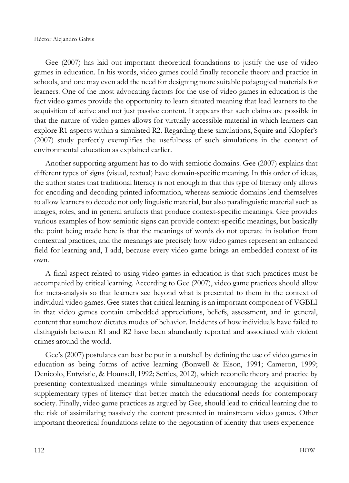Gee (2007) has laid out important theoretical foundations to justify the use of video games in education. In his words, video games could finally reconcile theory and practice in schools, and one may even add the need for designing more suitable pedagogical materials for learners. One of the most advocating factors for the use of video games in education is the fact video games provide the opportunity to learn situated meaning that lead learners to the acquisition of active and not just passive content. It appears that such claims are possible in that the nature of video games allows for virtually accessible material in which learners can explore R1 aspects within a simulated R2. Regarding these simulations, Squire and Klopfer's (2007) study perfectly exemplifies the usefulness of such simulations in the context of environmental education as explained earlier.

Another supporting argument has to do with semiotic domains. Gee (2007) explains that different types of signs (visual, textual) have domain-specific meaning. In this order of ideas, the author states that traditional literacy is not enough in that this type of literacy only allows for encoding and decoding printed information, whereas semiotic domains lend themselves to allow learners to decode not only linguistic material, but also paralinguistic material such as images, roles, and in general artifacts that produce context-specific meanings. Gee provides various examples of how semiotic signs can provide context-specific meanings, but basically the point being made here is that the meanings of words do not operate in isolation from contextual practices, and the meanings are precisely how video games represent an enhanced field for learning and, I add, because every video game brings an embedded context of its own.

A final aspect related to using video games in education is that such practices must be accompanied by critical learning. According to Gee (2007), video game practices should allow for meta-analysis so that learners see beyond what is presented to them in the context of individual video games. Gee states that critical learning is an important component of VGBLI in that video games contain embedded appreciations, beliefs, assessment, and in general, content that somehow dictates modes of behavior. Incidents of how individuals have failed to distinguish between R1 and R2 have been abundantly reported and associated with violent crimes around the world.

Gee's (2007) postulates can best be put in a nutshell by defining the use of video games in education as being forms of active learning (Bonwell & Eison, 1991; Cameron, 1999; Denicolo, Entwistle, & Hounsell, 1992; Settles, 2012), which reconcile theory and practice by presenting contextualized meanings while simultaneously encouraging the acquisition of supplementary types of literacy that better match the educational needs for contemporary society. Finally, video game practices as argued by Gee, should lead to critical learning due to the risk of assimilating passively the content presented in mainstream video games. Other important theoretical foundations relate to the negotiation of identity that users experience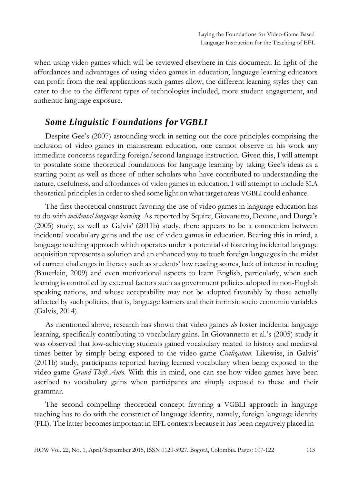when using video games which will be reviewed elsewhere in this document. In light of the affordances and advantages of using video games in education, language learning educators can profit from the real applications such games allow, the different learning styles they can cater to due to the different types of technologies included, more student engagement, and authentic language exposure.

## *Some Linguistic Foundations for VGBLI*

Despite Gee's (2007) astounding work in setting out the core principles comprising the inclusion of video games in mainstream education, one cannot observe in his work any immediate concerns regarding foreign/second language instruction. Given this, I will attempt to postulate some theoretical foundations for language learning by taking Gee's ideas as a starting point as well as those of other scholars who have contributed to understanding the nature, usefulness, and affordances of video games in education. I will attempt to include SLA theoretical principles in order to shed some light onwhat target areas VGBLI could enhance.

The first theoretical construct favoring the use of video games in language education has to do with *incidental language learning*. As reported by Squire, Giovanetto, Devane, and Durga's (2005) study, as well as Galvis' (2011b) study, there appears to be a connection between incidental vocabulary gains and the use of video games in education. Bearing this in mind, a language teaching approach which operates under a potential of fostering incidental language acquisition represents a solution and an enhanced way to teach foreign languagesin the midst of current challenges in literacy such as students' low reading scores, lack of interest in reading (Bauerlein, 2009) and even motivational aspects to learn English, particularly, when such learning is controlled by external factors such as government policies adopted in non-English speaking nations, and whose acceptability may not be adopted favorably by those actually affected by such policies, that is, language learners and their intrinsic socio economic variables (Galvis, 2014).

As mentioned above, research has shown that video games *do* foster incidental language learning, specifically contributing to vocabulary gains. In Giovannetto et al.'s (2005) study it was observed that low-achieving students gained vocabulary related to history and medieval times better by simply being exposed to the video game *Civilization.* Likewise, in Galvis' (2011b) study, participants reported having learned vocabulary when being exposed to the video game *Grand Theft Auto.* With this in mind, one can see how video games have been ascribed to vocabulary gains when participants are simply exposed to these and their grammar.

The second compelling theoretical concept favoring a VGBLI approach in language teaching has to do with the construct of language identity, namely, foreign language identity (FLI). The latter becomesimportant in EFL contexts because it has been negatively placed in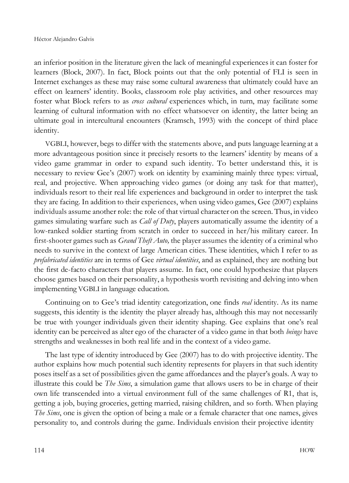an inferior position in the literature given the lack of meaningful experiences it can foster for learners (Block, 2007). In fact, Block points out that the only potential of FLI is seen in Internet exchanges as these may raise some cultural awareness that ultimately could have an effect on learners' identity. Books, classroom role play activities, and other resources may foster what Block refers to as *cross cultural* experiences which, in turn, may facilitate some learning of cultural information with no effect whatsoever on identity, the latter being an ultimate goal in intercultural encounters (Kramsch, 1993) with the concept of third place identity.

VGBLI, however, begs to differ with the statements above, and puts language learning at a more advantageous position since it precisely resorts to the learners' identity by means of a video game grammar in order to expand such identity. To better understand this, it is necessary to review Gee's (2007) work on identity by examining mainly three types: virtual, real, and projective. When approaching video games (or doing any task for that matter), individuals resort to their real life experiences and background in order to interpret the task they are facing. In addition to their experiences, when using video games, Gee (2007) explains individuals assume another role: the role of that virtual character on the screen. Thus, in video games simulating warfare such as *Call of Duty*, players automatically assume the identity of a low-ranked soldier starting from scratch in order to succeed in her/his military career. In first-shooter games such as *Grand Theft Auto,* the player assumes the identity of a criminal who needs to survive in the context of large American cities. These identities, which I refer to as *prefabricated identities* are in terms of Gee *virtual identities*, and as explained, they are nothing but the first de-facto characters that players assume. In fact, one could hypothesize that players choose games based on their personality, a hypothesis worth revisiting and delving into when implementing VGBLI in language education.

Continuing on to Gee's triad identity categorization, one finds *real* identity. As its name suggests, this identity is the identity the player already has, although this may not necessarily be true with younger individuals given their identity shaping. Gee explains that one's real identity can be perceived as alter ego of the character of a video game in that both *beings* have strengths and weaknesses in both real life and in the context of a video game.

The last type of identity introduced by Gee (2007) has to do with projective identity. The author explains how much potential such identity represents for players in that such identity poses itself as a set of possibilities given the game affordances and the player's goals. A way to illustrate this could be *The Sims*, a simulation game that allows users to be in charge of their own life transcended into a virtual environment full of the same challenges of R1, that is, getting a job, buying groceries, getting married, raising children, and so forth. When playing *The Sims*, one is given the option of being a male or a female character that one names, gives personality to, and controls during the game. Individuals envision their projective identity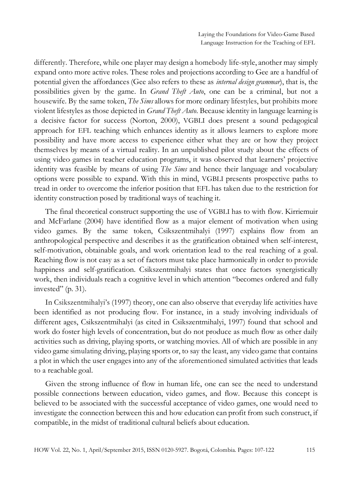differently. Therefore, while one player may design a homebody life-style, another may simply expand onto more active roles. These roles and projections according to Gee are a handful of potential given the affordances (Gee also refers to these as *internal design grammar*), that is, the possibilities given by the game. In *Grand Theft Auto*, one can be a criminal, but not a housewife. By the same token, *The Sims* allows for more ordinary lifestyles, but prohibits more violent lifestyles as those depicted in *Grand Theft Auto*. Because identity in language learning is a decisive factor for success (Norton, 2000), VGBLI does present a sound pedagogical approach for EFL teaching which enhances identity as it allows learners to explore more possibility and have more access to experience either what they are or how they project themselves by means of a virtual reality. In an unpublished pilot study about the effects of using video games in teacher education programs, it was observed that learners' projective identity was feasible by means of using *The Sims* and hence their language and vocabulary options were possible to expand. With this in mind, VGBLI presents prospective paths to tread in order to overcome the inferior position that EFL has taken due to the restriction for identity construction posed by traditional ways of teaching it.

The final theoretical construct supporting the use of VGBLI has to with flow. Kirriemuir and McFarlane (2004) have identified flow as a major element of motivation when using video games. By the same token, Csikszentmihalyi (1997) explains flow from an anthropological perspective and describes it as the gratification obtained when self-interest, self-motivation, obtainable goals, and work orientation lead to the real reaching of a goal. Reaching flow is not easy as a set of factors must take place harmonically in order to provide happiness and self-gratification. Csikszentmihalyi states that once factors synergistically work, then individuals reach a cognitive level in which attention "becomes ordered and fully invested" (p. 31).

In Csikszentmihalyi's (1997) theory, one can also observe that everyday life activities have been identified as not producing flow. For instance, in a study involving individuals of different ages, Csikszentmihalyi (as cited in Csikszentmihalyi, 1997) found that school and work do foster high levels of concentration, but do not produce as much flow as other daily activities such as driving, playing sports, or watching movies. All of which are possible in any video game simulating driving, playing sports or, to say the least, any video game that contains a plot in which the user engages into any of the aforementioned simulated activities that leads to a reachable goal.

Given the strong influence of flow in human life, one can see the need to understand possible connections between education, video games, and flow. Because this concept is believed to be associated with the successful acceptance of video games, one would need to investigate the connection between this and how education can profit from such construct, if compatible, in the midst of traditional cultural beliefs about education.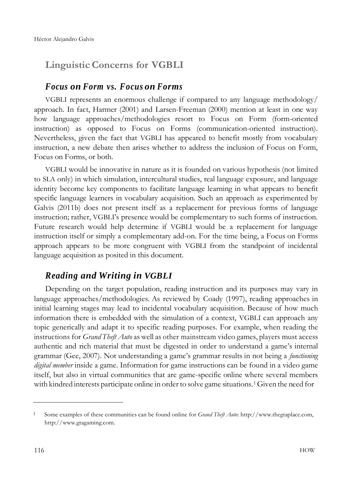# **Linguistic Concerns for VGBLI**

### *Focus on Form vs. Focus on Forms*

VGBLI represents an enormous challenge if compared to any language methodology/ approach. In fact, Harmer (2001) and Larsen-Freeman (2000) mention at least in one way how language approaches/methodologies resort to Focus on Form (form-oriented instruction) as opposed to Focus on Forms (communication-oriented instruction). Nevertheless, given the fact that VGBLI has appeared to benefit mostly from vocabulary instruction, a new debate then arises whether to address the inclusion of Focus on Form, Focus on Forms, or both.

VGBLI would be innovative in nature as it is founded on various hypothesis (not limited to SLA only) in which simulation, intercultural studies, real language exposure, and language identity become key components to facilitate language learning in what appears to benefit specific language learners in vocabulary acquisition. Such an approach as experimented by Galvis (2011b) does not present itself as a replacement for previous forms of language instruction; rather, VGBLI's presence would be complementary to such forms of instruction. Future research would help determine if VGBLI would be a replacement for language instruction itself or simply a complementary add-on. For the time being, a Focus on Forms approach appears to be more congruent with VGBLI from the standpoint of incidental language acquisition as posited in this document.

# *Reading and Writing in VGBLI*

Depending on the target population, reading instruction and its purposes may vary in language approaches/methodologies. As reviewed by Coady (1997), reading approaches in initial learning stages may lead to incidental vocabulary acquisition. Because of how much information there is embedded with the simulation of a context, VGBLI can approach any topic generically and adapt it to specific reading purposes. For example, when reading the instructions for *Grand Theft Auto* as well as other mainstream video games, players must access authentic and rich material that must be digested in order to understand a game's internal grammar (Gee, 2007). Not understanding a game's grammar results in not being a *functioning digital member* inside a game. Information for game instructions can be found in a video game itself, but also in virtual communities that are game-specific online where several members with kindred interests participate online in order to solve game situations. <sup>1</sup>Given the need for

<sup>1</sup> Some examples of these communities can be found online for *Grand Theft Auto*: [http://www.thegtaplace.com,](http://www.thegtaplace.com/) [http://www.gtagaming.com.](http://www.gtagaming.com/)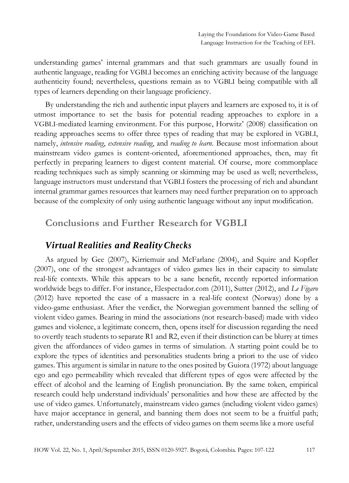understanding games' internal grammars and that such grammars are usually found in authentic language, reading for VGBLI becomes an enriching activity because of the language authenticity found; nevertheless, questions remain as to VGBLI being compatible with all types of learners depending on their language proficiency.

By understanding the rich and authentic input players and learners are exposed to, it is of utmost importance to set the basis for potential reading approaches to explore in a VGBLI-mediated learning environment. For this purpose, Horwitz' (2008) classification on reading approaches seems to offer three types of reading that may be explored in VGBLI, namely, *intensive reading*, *extensive reading*, and *reading to learn*. Because most information about mainstream video games is content-oriented, aforementioned approaches, then, may fit perfectly in preparing learners to digest content material. Of course, more commonplace reading techniques such as simply scanning or skimming may be used as well; nevertheless, language instructors must understand that VGBLI fosters the processing of rich and abundant internal grammar games resources that learners may need further preparation on to approach because of the complexity of only using authentic language without any input modification.

### **Conclusions and Further Research for VGBLI**

### *Virtual Realities and RealityChecks*

As argued by Gee (2007), Kirriemuir and McFarlane (2004), and Squire and Kopfler (2007), one of the strongest advantages of video games lies in their capacity to simulate real-life contexts. While this appears to be a sane benefit, recently reported information worldwide begs to differ. For instance, Elespectador.com (2011), Sutter (2012), and *Le Figaro*  (2012) have reported the case of a massacre in a real-life context (Norway) done by a video-game enthusiast. After the verdict, the Norwegian government banned the selling of violent video games. Bearing in mind the associations (not research-based) made with video games and violence, a legitimate concern, then, opens itself for discussion regarding the need to overtly teach students to separate R1 and R2, even if their distinction can be blurry at times given the affordances of video games in terms of simulation. A starting point could be to explore the types of identities and personalities students bring a priori to the use of video games. This argument is similar in nature to the ones posited by Guiora (1972) about language ego and ego permeability which revealed that different types of egos were affected by the effect of alcohol and the learning of English pronunciation. By the same token, empirical research could help understand individuals' personalities and how these are affected by the use of video games. Unfortunately, mainstream video games (including violent video games) have major acceptance in general, and banning them does not seem to be a fruitful path; rather, understanding users and the effects of video games on them seems like a more useful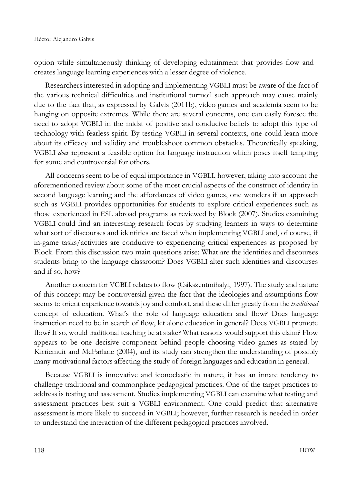option while simultaneously thinking of developing edutainment that provides flow and creates language learning experiences with a lesser degree of violence.

Researchers interested in adopting and implementing VGBLI must be aware of the fact of the various technical difficulties and institutional turmoil such approach may cause mainly due to the fact that, as expressed by Galvis (2011b), video games and academia seem to be hanging on opposite extremes. While there are several concerns, one can easily foresee the need to adopt VGBLI in the midst of positive and conducive beliefs to adopt this type of technology with fearless spirit. By testing VGBLI in several contexts, one could learn more about its efficacy and validity and troubleshoot common obstacles. Theoretically speaking, VGBLI *does* represent a feasible option for language instruction which poses itself tempting for some and controversial for others.

All concerns seem to be of equal importance in VGBLI, however, taking into account the aforementioned review about some of the most crucial aspects of the construct of identity in second language learning and the affordances of video games, one wonders if an approach such as VGBLI provides opportunities for students to explore critical experiences such as those experienced in ESL abroad programs as reviewed by Block (2007). Studies examining VGBLI could find an interesting research focus by studying learners in ways to determine what sort of discourses and identities are faced when implementing VGBLI and, of course, if in-game tasks/activities are conducive to experiencing critical experiences as proposed by Block. From this discussion two main questions arise: What are the identities and discourses students bring to the language classroom? Does VGBLI alter such identities and discourses and if so, how?

Another concern for VGBLI relates to flow (Csikszentmihalyi, 1997). The study and nature of this concept may be controversial given the fact that the ideologies and assumptions flow seems to orient experience towardsjoy and comfort, and these differ greatly from the *traditional*  concept of education. What's the role of language education and flow? Does language instruction need to be in search of flow, let alone education in general? Does VGBLI promote flow? If so, would traditional teaching be at stake? What reasons would support this claim? Flow appears to be one decisive component behind people choosing video games as stated by Kirriemuir and McFarlane (2004), and its study can strengthen the understanding of possibly many motivational factors affecting the study of foreign languages and education in general.

Because VGBLI is innovative and iconoclastic in nature, it has an innate tendency to challenge traditional and commonplace pedagogical practices. One of the target practices to address is testing and assessment. Studies implementing VGBLI can examine what testing and assessment practices best suit a VGBLI environment. One could predict that alternative assessment is more likely to succeed in VGBLI; however, further research is needed in order to understand the interaction of the different pedagogical practices involved.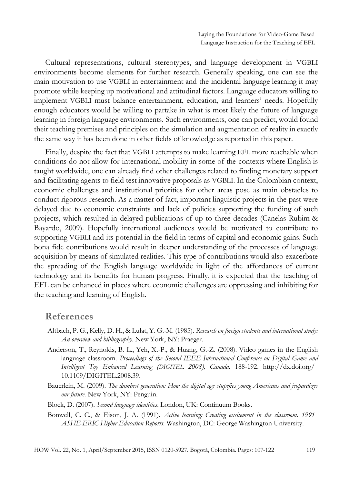Cultural representations, cultural stereotypes, and language development in VGBLI environments become elements for further research. Generally speaking, one can see the main motivation to use VGBLI in entertainment and the incidental language learning it may promote while keeping up motivational and attitudinal factors. Language educators willing to implement VGBLI must balance entertainment, education, and learners' needs. Hopefully enough educators would be willing to partake in what is most likely the future of language learning in foreign language environments. Such environments, one can predict, would found their teaching premises and principles on the simulation and augmentation of reality in exactly the same way it has been done in other fields of knowledge as reported in this paper.

Finally, despite the fact that VGBLI attempts to make learning EFL more reachable when conditions do not allow for international mobility in some of the contexts where English is taught worldwide, one can already find other challenges related to finding monetary support and facilitating agents to field test innovative proposals as VGBLI. In the Colombian context, economic challenges and institutional priorities for other areas pose as main obstacles to conduct rigorous research. As a matter of fact, important linguistic projects in the past were delayed due to economic constraints and lack of policies supporting the funding of such projects, which resulted in delayed publications of up to three decades (Canelas Rubim & Bayardo, 2009). Hopefully international audiences would be motivated to contribute to supporting VGBLI and its potential in the field in terms of capital and economic gains. Such bona fide contributions would result in deeper understanding of the processes of language acquisition by means of simulated realities. This type of contributions would also exacerbate the spreading of the English language worldwide in light of the affordances of current technology and its benefits for human progress. Finally, it is expected that the teaching of EFL can be enhanced in places where economic challenges are oppressing and inhibiting for the teaching and learning of English.

#### **References**

- Altbach, P. G., Kelly, D. H., & Lulat, Y. G.-M. (1985). *Research on foreign students and international study: An overview and bibliography.* New York, NY: Praeger.
- Anderson, T., Reynolds, B. L., Yeh, X.-P., & Huang, G.-Z. (2008). Video games in the English language classroom. *Proceedings of the Second IEEE International Conference on Digital Game and Intelligent Toy Enhanced Learning (DIGITEL 2008), Canada,* 188-192. <http://dx.doi.org/> 10.1109/DIGITEL.2008.39.
- Bauerlein, M. (2009). *The dumbest generation: How the digital age stupefies young Americans and jeopardizes our future*. New York, NY: Penguin.
- Block, D. (2007). *Second language identities*. London, UK: Continuum Books.
- Bonwell, C. C., & Eison, J. A. (1991). *Active learning: Creating excitement in the classroom. 1991 ASHE-ERIC Higher Education Reports*. Washington, DC: George Washington University.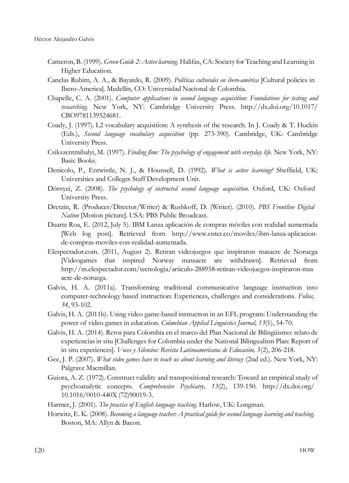- Cameron, B. (1999). *Green Guide 2: Active learning*. Halifax, CA: Society for Teaching and Learning in Higher Education.
- Canelas Rubim, A. A., & Bayardo, R. (2009). *Políticas culturales en ibero-américa* [Cultural policies in Ibero-America]. Medellín, CO: Universidad Nacional de Colombia.
- Chapelle, C. A. (2001). *Computer applications in second language acquisition: Foundations for testing and researching.* New York, NY: Cambridge University Press. <http://dx.doi.org/10.1017/> CBO9781139524681.
- Coady, J. (1997). L2 vocabulary acquisition: A synthesis of the research. In J. Coady & T. Huckin (Eds.), *Second language vocabulary acquisition* (pp. 273-390). Cambridge, UK: Cambridge University Press.
- Csikszentmihalyi, M. (1997). *Finding flow: The psychology of engagement with everyday life.* New York, NY: Basic Books.
- Denicolo, P., Entwistle, N. J., & Hounsell, D. (1992). *What is active learning?* Sheffield, UK: Universities and Colleges Staff Development Unit.
- Dörnyei, Z. (2008). *The psychology of instructed second language acquisition.* Oxford, UK: Oxford University Press.
- Dretzin, R. (Producer/Director/Writer) & Rushkoff, D. (Writer). (2010). *PBS Frontline Digital Nation* [Motion picture]. USA: PBS Public Broadcast.
- Duarte Roa, E. (2012, July 5). IBM Lanza aplicación de compras móviles con realidad aumentada [Web log post]. Retrieved from [http://www.enter.co/moviles/ibm-lanza-aplicacion](http://www.enter.co/moviles/ibm-lanza-aplicacion-)de-compras-moviles-con-realidad-aumentada.
- Elespectador.com. (2011, August 2). Retiran videojuegos que inspiraron masacre de Noruega [Videogames that inspired Norway massacre are withdrawn]. Retrieved from <http://m.elespectador.com/tecnologia/articulo-288958-retiran-videojuegos-inspiraron-mas> acre-de-noruega.
- Galvis, H. A. (2011a). Transforming traditional communicative language instruction into computer-technology based instruction: Experiences, challenges and considerations. *Folios, 34*, 93-102.
- Galvis, H. A. (2011b). Using video game-based instruction in an EFL program: Understanding the power of video games in education. *Colombian Applied Linguistics Journal, 13*(1), 54-70.
- Galvis, H. A. (2014). Retos para Colombia en el marco del Plan Nacional de Bilingüismo: relato de experiencias in situ [Challenges for Colombia under the National Bilingualism Plan: Report of in situ experiences]. *Voces y Silencios: Revista Latinoamericana de Educación, 5*(2), 206-218.
- Gee, J. P. (2007). *What video games have to teach us about learning and literacy* (2nd ed.). New York, NY: Palgrave Macmillan.
- Guiora, A. Z. (1972). Construct validity and transpositional research: Toward an empirical study of psychoanalytic concepts. *Comprehensive Psychiatry, 13*(2), 139-150. <http://dx.doi.org/> 10.1016/0010-440X(72)90019-3.
- Harmer, J. (2001). *The practice of English language teaching.* Harlow, UK: Longman.
- Horwitz, E. K. (2008). *Becoming a language teacher: A practical guide for second language learning and teaching.* Boston, MA: Allyn & Bacon.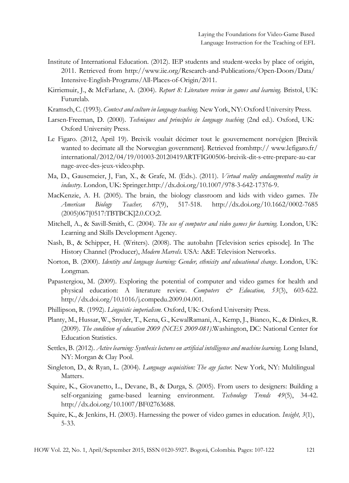- Institute of International Education. (2012). IEP students and student-weeks by place of origin, 2011. Retrieved from <http://www.iie.org/Research-and-Publications/Open-Doors/Data/> Intensive-English-Programs/All-Places-of-Origin/2011.
- Kirriemuir, J., & McFarlane, A. (2004). *Report 8: Literature review in games and learning.* Bristol, UK: Futurelab.
- Kramsch,C. (1993).*Context and culture in language teaching.* NewYork, NY:Oxford University Press.
- Larsen-Freeman, D. (2000). *Techniques and principles in language teaching* (2nd ed.). Oxford, UK: Oxford University Press.
- Le Figaro. (2012, April 19). Breivik voulait décimer tout le gouvernement norvégien [Breivik wanted to decimate all the Norwegian government]. Retrieved fromhttp:// [www.lefigaro.fr/](http://www.lefigaro.fr/) international/2012/04/19/01003-20120419ARTFIG00506-breivik-dit-s-etre-prepare-au-car nage-avec-des-jeux-video.php.
- Ma, D., Gausemeier, J, Fan, X., & Grafe, M. (Eds.). (2011). *Virtual reality andaugmented reality in industry*. London, UK: Springe[r.http://dx.doi.org/10.1007/978-3-642-17376-9.](http://dx.doi.org/10.1007/978-3-642-17376-9)
- MacKenzie, A. H. (2005). The brain, the biology classroom and kids with video games. *The American Biology Teacher, 67*(9), 517-518. <http://dx.doi.org/10.1662/0002-7685> (2005)067[0517:TBTBCK]2.0.CO;2.
- Mitchell, A., & Savill-Smith, C. (2004). *The use of computer and video games for learning.* London, UK: Learning and Skills Development Agency.
- Nash, B., & Schipper, H. (Writers). (2008). The autobahn [Television series episode]. In The History Channel (Producer), *Modern Marvels.* USA: A&E Television Networks.
- Norton, B. (2000). *Identity and language learning: Gender, ethnicity and educational change*. London, UK: Longman.
- Papastergiou, M. (2009). Exploring the potential of computer and video games for health and physical education: A literature review. *Computers & Education, 53*(3), 603-622. [http://dx.doi.org/10.1016/j.compedu.2009.04.001.](http://dx.doi.org/10.1016/j.compedu.2009.04.001)
- Phillipson, R. (1992). *Linguistic imperialism.* Oxford, UK: Oxford University Press.
- Planty, M., Hussar, W., Snyder, T., Kena, G., KewalRamani, A., Kemp, J., Bianco, K., & Dinkes, R. (2009). *The condition of education 2009 (NCES 2009-081)*.Washington, DC: National Center for Education Statistics.
- Settles, B. (2012). *Active learning: Synthesis lectures on artificial intelligence and machine learning*. Long Island, NY: Morgan & Clay Pool.
- Singleton, D., & Ryan, L. (2004). *Language acquisition: The age factor.* New York, NY: Multilingual Matters.
- Squire, K., Giovanetto, L., Devane, B., & Durga, S. (2005). From users to designers: Building a self-organizing game-based learning environment*. Technology Trends 49*(5), 34-42. [http://dx.doi.org/10.1007/BF02763688.](http://dx.doi.org/10.1007/BF02763688)
- Squire, K., & Jenkins, H. (2003). Harnessing the power of video games in education. *Insight, 3*(1), 5-33.